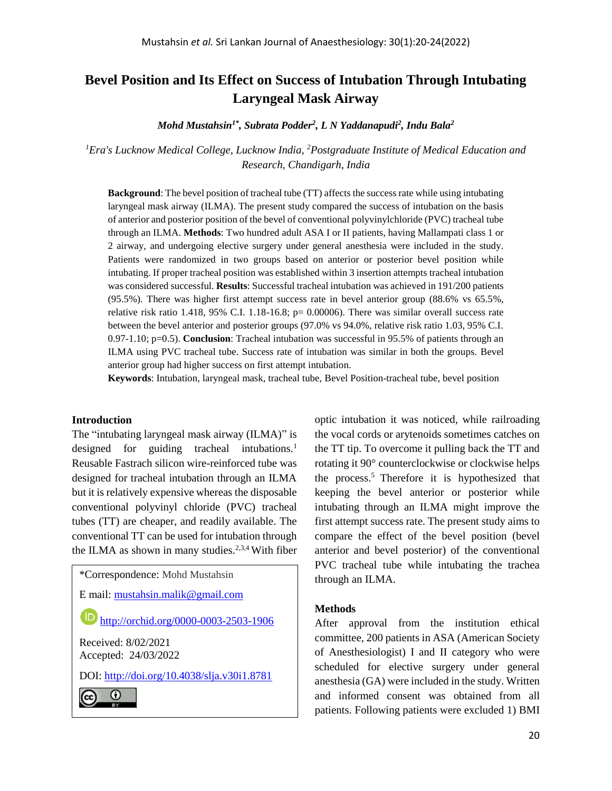# **Bevel Position and Its Effect on Success of Intubation Through Intubating Laryngeal Mask Airway**

*Mohd Mustahsin1\*, Subrata Podder<sup>2</sup> , L N Yaddanapudi<sup>2</sup> , Indu Bala<sup>2</sup>*

*<sup>1</sup>Era's Lucknow Medical College, Lucknow India, <sup>2</sup>Postgraduate Institute of Medical Education and Research, Chandigarh, India*

**Background**: The bevel position of tracheal tube (TT) affects the success rate while using intubating laryngeal mask airway (ILMA). The present study compared the success of intubation on the basis of anterior and posterior position of the bevel of conventional polyvinylchloride (PVC) tracheal tube through an ILMA. **Methods**: Two hundred adult ASA I or II patients, having Mallampati class 1 or 2 airway, and undergoing elective surgery under general anesthesia were included in the study. Patients were randomized in two groups based on anterior or posterior bevel position while intubating. If proper tracheal position was established within 3 insertion attempts tracheal intubation was considered successful. **Results**: Successful tracheal intubation was achieved in 191/200 patients (95.5%). There was higher first attempt success rate in bevel anterior group (88.6% vs 65.5%, relative risk ratio 1.418, 95% C.I. 1.18-16.8; p= 0.00006). There was similar overall success rate between the bevel anterior and posterior groups (97.0% vs 94.0%, relative risk ratio 1.03, 95% C.I. 0.97-1.10; p=0.5). **Conclusion**: Tracheal intubation was successful in 95.5% of patients through an ILMA using PVC tracheal tube. Success rate of intubation was similar in both the groups. Bevel anterior group had higher success on first attempt intubation.

**Keywords**: Intubation, laryngeal mask, tracheal tube, Bevel Position-tracheal tube, bevel position

### **Introduction**

The "intubating laryngeal mask airway (ILMA)" is designed for guiding tracheal intubations. $\frac{1}{1}$ Reusable Fastrach silicon wire-reinforced tube was designed for tracheal intubation through an ILMA but it is relatively expensive whereas the disposable conventional polyvinyl chloride (PVC) tracheal tubes (TT) are cheaper, and readily available. The conventional TT can be used for intubation through the ILMA as shown in many studies.<sup>2,3,4</sup> With fiber

\*Correspondence: Mohd Mustahsin

E mail: [mustahsin.malik@gmail.com](mailto:mustahsin.malik@gmail.com)

<http://orchid.org/0000-0003-2503-1906>

Received: 8/02/2021 Accepted: 24/03/2022

DOI:<http://doi.org/10.4038/slja.v30i1.8781>

0 (cc

optic intubation it was noticed, while railroading the vocal cords or arytenoids sometimes catches on the TT tip. To overcome it pulling back the TT and rotating it 90° counterclockwise or clockwise helps the process.<sup>5</sup> Therefore it is hypothesized that keeping the bevel anterior or posterior while intubating through an ILMA might improve the first attempt success rate. The present study aims to compare the effect of the bevel position (bevel anterior and bevel posterior) of the conventional PVC tracheal tube while intubating the trachea through an ILMA.

#### **Methods**

After approval from the institution ethical committee, 200 patients in ASA (American Society of Anesthesiologist) I and II category who were scheduled for elective surgery under general anesthesia (GA) were included in the study. Written and informed consent was obtained from all patients. Following patients were excluded 1) BMI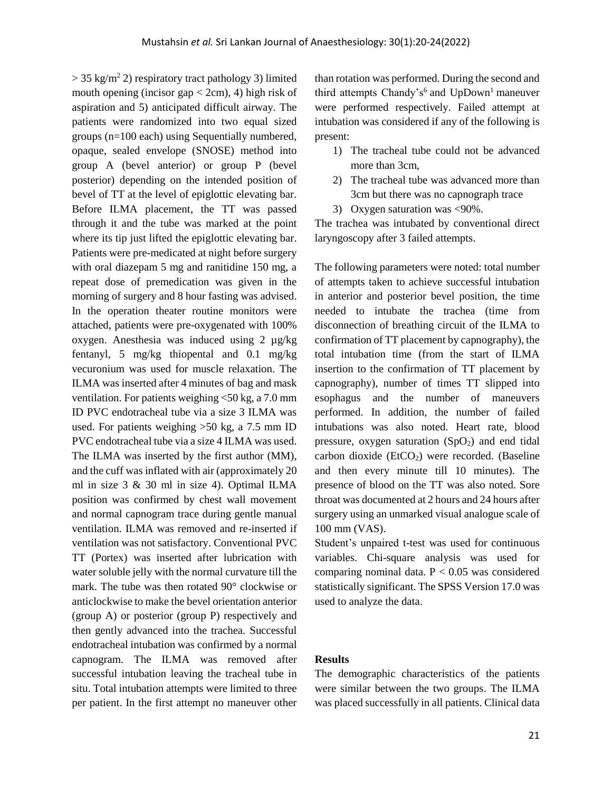$>$  35 kg/m<sup>2</sup> 2) respiratory tract pathology 3) limited mouth opening (incisor gap  $<$  2cm), 4) high risk of aspiration and 5) anticipated difficult airway. The patients were randomized into two equal sized groups (n=100 each) using Sequentially numbered, opaque, sealed envelope (SNOSE) method into group A (bevel anterior) or group P (bevel posterior) depending on the intended position of bevel of TT at the level of epiglottic elevating bar. Before ILMA placement, the TT was passed through it and the tube was marked at the point where its tip just lifted the epiglottic elevating bar. Patients were pre-medicated at night before surgery with oral diazepam 5 mg and ranitidine 150 mg, a repeat dose of premedication was given in the morning of surgery and 8 hour fasting was advised. In the operation theater routine monitors were attached, patients were pre-oxygenated with 100% oxygen. Anesthesia was induced using 2 µg/kg fentanyl, 5 mg/kg thiopental and 0.1 mg/kg vecuronium was used for muscle relaxation. The ILMA was inserted after 4 minutes of bag and mask ventilation. For patients weighing <50 kg, a 7.0 mm ID PVC endotracheal tube via a size 3 ILMA was used. For patients weighing >50 kg, a 7.5 mm ID PVC endotracheal tube via a size 4 ILMA was used. The ILMA was inserted by the first author (MM), and the cuff was inflated with air (approximately 20 ml in size 3 & 30 ml in size 4). Optimal ILMA position was confirmed by chest wall movement and normal capnogram trace during gentle manual ventilation. ILMA was removed and re-inserted if ventilation was not satisfactory. Conventional PVC TT (Portex) was inserted after lubrication with water soluble jelly with the normal curvature till the mark. The tube was then rotated 90° clockwise or anticlockwise to make the bevel orientation anterior (group A) or posterior (group P) respectively and then gently advanced into the trachea. Successful endotracheal intubation was confirmed by a normal capnogram. The ILMA was removed after successful intubation leaving the tracheal tube in situ. Total intubation attempts were limited to three per patient. In the first attempt no maneuver other

than rotation was performed. During the second and third attempts Chandy's<sup>6</sup> and UpDown<sup>1</sup> maneuver were performed respectively. Failed attempt at intubation was considered if any of the following is present:

- 1) The tracheal tube could not be advanced more than 3cm,
- 2) The tracheal tube was advanced more than 3cm but there was no capnograph trace
- 3) Oxygen saturation was <90%.

The trachea was intubated by conventional direct laryngoscopy after 3 failed attempts.

The following parameters were noted: total number of attempts taken to achieve successful intubation in anterior and posterior bevel position, the time needed to intubate the trachea (time from disconnection of breathing circuit of the ILMA to confirmation of TT placement by capnography), the total intubation time (from the start of ILMA insertion to the confirmation of TT placement by capnography), number of times TT slipped into esophagus and the number of maneuvers performed. In addition, the number of failed intubations was also noted. Heart rate, blood pressure, oxygen saturation  $(SpO<sub>2</sub>)$  and end tidal carbon dioxide ( $EtCO<sub>2</sub>$ ) were recorded. (Baseline and then every minute till 10 minutes). The presence of blood on the TT was also noted. Sore throat was documented at 2 hours and 24 hours after surgery using an unmarked visual analogue scale of 100 mm (VAS).

Student's unpaired t-test was used for continuous variables. Chi-square analysis was used for comparing nominal data.  $P < 0.05$  was considered statistically significant. The SPSS Version 17.0 was used to analyze the data.

# **Results**

The demographic characteristics of the patients were similar between the two groups. The ILMA was placed successfully in all patients. Clinical data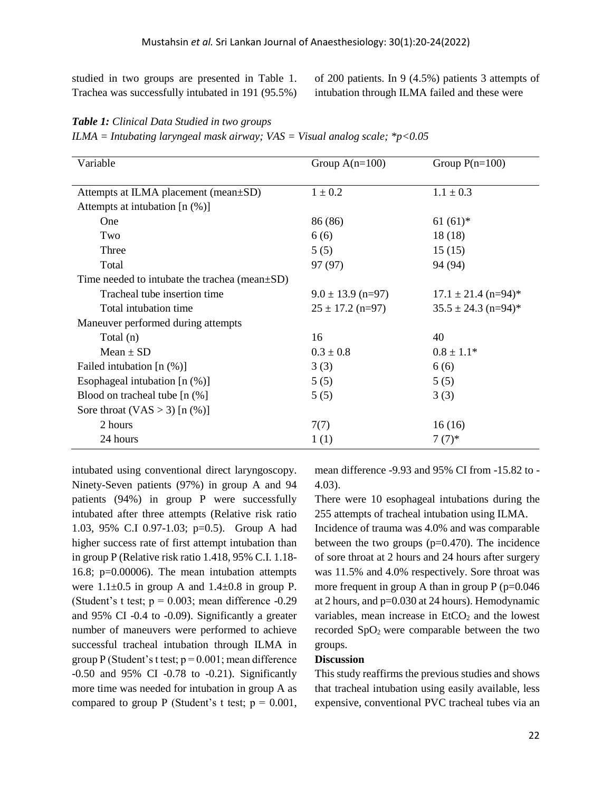studied in two groups are presented in Table 1. Trachea was successfully intubated in 191 (95.5%) of 200 patients. In 9 (4.5%) patients 3 attempts of intubation through ILMA failed and these were

| <b>Table 1:</b> Clinical Data Studied in two groups                           |  |
|-------------------------------------------------------------------------------|--|
| ILMA = Intubating laryngeal mask airway; VAS = Visual analog scale; $*p<0.05$ |  |

| Variable                                             | Group $A(n=100)$      | Group $P(n=100)$        |
|------------------------------------------------------|-----------------------|-------------------------|
|                                                      |                       |                         |
| Attempts at ILMA placement (mean±SD)                 | $1 \pm 0.2$           | $1.1 \pm 0.3$           |
| Attempts at intubation $[n (\%)]$                    |                       |                         |
| One                                                  | 86 (86)               | $61(61)^*$              |
| Two                                                  | 6(6)                  | 18(18)                  |
| Three                                                | 5(5)                  | 15(15)                  |
| Total                                                | 97 (97)               | 94 (94)                 |
| Time needed to intubate the trachea (mean $\pm SD$ ) |                       |                         |
| Tracheal tube insertion time                         | $9.0 \pm 13.9$ (n=97) | $17.1 \pm 21.4$ (n=94)* |
| Total intubation time                                | $25 \pm 17.2$ (n=97)  | $35.5 \pm 24.3$ (n=94)* |
| Maneuver performed during attempts                   |                       |                         |
| Total (n)                                            | 16                    | 40                      |
| $Mean \pm SD$                                        | $0.3 \pm 0.8$         | $0.8 \pm 1.1*$          |
| Failed intubation [n (%)]                            | 3(3)                  | 6(6)                    |
| Esophageal intubation $[n (\%)]$                     | 5(5)                  | 5(5)                    |
| Blood on tracheal tube $[n \, (\%)]$                 | 5(5)                  | 3(3)                    |
| Sore throat $(VAS > 3)$ [n $(\%)$ ]                  |                       |                         |
| 2 hours                                              | 7(7)                  | 16(16)                  |
| 24 hours                                             | 1(1)                  | $7(7)^*$                |

intubated using conventional direct laryngoscopy. Ninety-Seven patients (97%) in group A and 94 patients (94%) in group P were successfully intubated after three attempts (Relative risk ratio 1.03, 95% C.I 0.97-1.03; p=0.5). Group A had higher success rate of first attempt intubation than in group P (Relative risk ratio 1.418, 95% C.I. 1.18- 16.8; p=0.00006). The mean intubation attempts were  $1.1\pm0.5$  in group A and  $1.4\pm0.8$  in group P. (Student's t test;  $p = 0.003$ ; mean difference -0.29 and 95% CI -0.4 to -0.09). Significantly a greater number of maneuvers were performed to achieve successful tracheal intubation through ILMA in group P (Student's t test;  $p = 0.001$ ; mean difference -0.50 and 95% CI -0.78 to -0.21). Significantly more time was needed for intubation in group A as compared to group P (Student's t test;  $p = 0.001$ ,

mean difference -9.93 and 95% CI from -15.82 to - 4.03).

There were 10 esophageal intubations during the 255 attempts of tracheal intubation using ILMA.

Incidence of trauma was 4.0% and was comparable between the two groups  $(p=0.470)$ . The incidence of sore throat at 2 hours and 24 hours after surgery was 11.5% and 4.0% respectively. Sore throat was more frequent in group A than in group  $P$  (p=0.046) at 2 hours, and  $p=0.030$  at 24 hours). Hemodynamic variables, mean increase in  $EtCO<sub>2</sub>$  and the lowest recorded  $SpO<sub>2</sub>$  were comparable between the two groups.

# **Discussion**

This study reaffirms the previous studies and shows that tracheal intubation using easily available, less expensive, conventional PVC tracheal tubes via an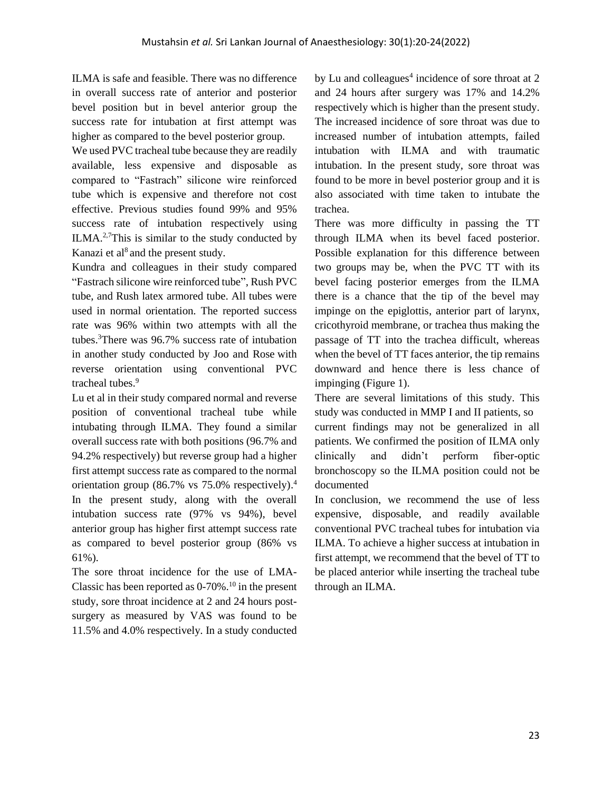ILMA is safe and feasible. There was no difference in overall success rate of anterior and posterior bevel position but in bevel anterior group the success rate for intubation at first attempt was higher as compared to the bevel posterior group.

We used PVC tracheal tube because they are readily available, less expensive and disposable as compared to "Fastrach" silicone wire reinforced tube which is expensive and therefore not cost effective. Previous studies found 99% and 95% success rate of intubation respectively using ILMA.2,7This is similar to the study conducted by Kanazi et al<sup>8</sup> and the present study.

Kundra and colleagues in their study compared "Fastrach silicone wire reinforced tube", Rush PVC tube, and Rush latex armored tube. All tubes were used in normal orientation. The reported success rate was 96% within two attempts with all the tubes. <sup>3</sup>There was 96.7% success rate of intubation in another study conducted by Joo and Rose with reverse orientation using conventional PVC tracheal tubes.<sup>9</sup>

Lu et al in their study compared normal and reverse position of conventional tracheal tube while intubating through ILMA. They found a similar overall success rate with both positions (96.7% and 94.2% respectively) but reverse group had a higher first attempt success rate as compared to the normal orientation group (86.7% vs 75.0% respectively). 4 In the present study, along with the overall intubation success rate (97% vs 94%), bevel anterior group has higher first attempt success rate as compared to bevel posterior group (86% vs 61%).

The sore throat incidence for the use of LMA-Classic has been reported as  $0-70\%$ .<sup>10</sup> in the present study, sore throat incidence at 2 and 24 hours postsurgery as measured by VAS was found to be 11.5% and 4.0% respectively. In a study conducted

by Lu and colleagues<sup>4</sup> incidence of sore throat at  $2$ and 24 hours after surgery was 17% and 14.2% respectively which is higher than the present study. The increased incidence of sore throat was due to increased number of intubation attempts, failed intubation with ILMA and with traumatic intubation. In the present study, sore throat was found to be more in bevel posterior group and it is also associated with time taken to intubate the trachea.

There was more difficulty in passing the TT through ILMA when its bevel faced posterior. Possible explanation for this difference between two groups may be, when the PVC TT with its bevel facing posterior emerges from the ILMA there is a chance that the tip of the bevel may impinge on the epiglottis, anterior part of larynx, cricothyroid membrane, or trachea thus making the passage of TT into the trachea difficult, whereas when the bevel of TT faces anterior, the tip remains downward and hence there is less chance of impinging (Figure 1).

There are several limitations of this study. This study was conducted in MMP I and II patients, so current findings may not be generalized in all patients. We confirmed the position of ILMA only clinically and didn't perform fiber-optic bronchoscopy so the ILMA position could not be documented

In conclusion, we recommend the use of less expensive, disposable, and readily available conventional PVC tracheal tubes for intubation via ILMA. To achieve a higher success at intubation in first attempt, we recommend that the bevel of TT to be placed anterior while inserting the tracheal tube through an ILMA.